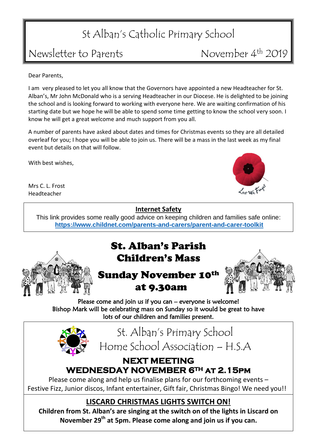# St Alban's Catholic Primary School

### Newsletter to Parents

November 4<sup>th</sup> 2019

Dear Parents,

I am very pleased to let you all know that the Governors have appointed a new Headteacher for St. Alban's, Mr John McDonald who is a serving Headteacher in our Diocese. He is delighted to be joining the school and is looking forward to working with everyone here. We are waiting confirmation of his starting date but we hope he will be able to spend some time getting to know the school very soon. I know he will get a great welcome and much support from you all.

A number of parents have asked about dates and times for Christmas events so they are all detailed overleaf for you; I hope you will be able to join us. There will be a mass in the last week as my final event but details on that will follow.

With best wishes,

Mrs C. L. Frost Headteacher

#### **Internet Safety**

This link provides some really good advice on keeping children and families safe online: **[https://www.childnet.com/parents-and-carers/parent-and-carer-toolkit](http://briefing.safeguardinginschools.co.uk/lt.php?s=c1db27aab4eda02661fe5b4772dd8ea9&i=81A108A5A798)**



### St. Alban's Parish Children's Mass

### Sunday November 10th at 9.30am



Please come and join us if you can – everyone is welcome! Bishop Mark will be celebrating mass on Sunday so it would be great to have lots of our children and families present.



St. Alban's Primary School Home School Association – H.S.A

#### **NEXT MEETING WEDNESDAY NOVEMBER 6TH at 2.15pm**

Please come along and help us finalise plans for our forthcoming events – Festive Fizz, Junior discos, Infant entertainer, Gift fair, Christmas Bingo! We need you!!

#### **LISCARD CHRISTMAS LIGHTS SWITCH ON!**

**Children from St. Alban's are singing at the switch on of the lights in Liscard on November 29th at 5pm. Please come along and join us if you can.**